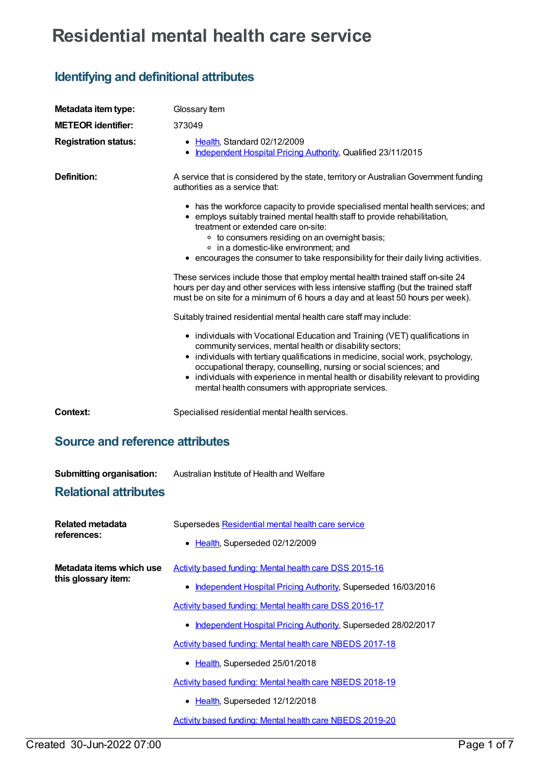## **Residential mental health care service**

## **Identifying and definitional attributes**

| Metadata item type:                             | Glossary Item                                                                                                                                                                                                                                                                                                                                                                                                                                  |
|-------------------------------------------------|------------------------------------------------------------------------------------------------------------------------------------------------------------------------------------------------------------------------------------------------------------------------------------------------------------------------------------------------------------------------------------------------------------------------------------------------|
| <b>METEOR identifier:</b>                       | 373049                                                                                                                                                                                                                                                                                                                                                                                                                                         |
| <b>Registration status:</b>                     | • Health, Standard 02/12/2009<br>• Independent Hospital Pricing Authority, Qualified 23/11/2015                                                                                                                                                                                                                                                                                                                                                |
| <b>Definition:</b>                              | A service that is considered by the state, territory or Australian Government funding<br>authorities as a service that:                                                                                                                                                                                                                                                                                                                        |
|                                                 | • has the workforce capacity to provide specialised mental health services; and<br>• employs suitably trained mental health staff to provide rehabilitation,<br>treatment or extended care on-site:                                                                                                                                                                                                                                            |
|                                                 | • to consumers residing on an overnight basis;<br>• in a domestic-like environment; and<br>• encourages the consumer to take responsibility for their daily living activities.                                                                                                                                                                                                                                                                 |
|                                                 | These services include those that employ mental health trained staff on-site 24<br>hours per day and other services with less intensive staffing (but the trained staff<br>must be on site for a minimum of 6 hours a day and at least 50 hours per week).                                                                                                                                                                                     |
|                                                 | Suitably trained residential mental health care staff may include:                                                                                                                                                                                                                                                                                                                                                                             |
|                                                 | • individuals with Vocational Education and Training (VET) qualifications in<br>community services, mental health or disability sectors;<br>• individuals with tertiary qualifications in medicine, social work, psychology,<br>occupational therapy, counselling, nursing or social sciences; and<br>• individuals with experience in mental health or disability relevant to providing<br>mental health consumers with appropriate services. |
| <b>Context:</b>                                 | Specialised residential mental health services.                                                                                                                                                                                                                                                                                                                                                                                                |
| <b>Source and reference attributes</b>          |                                                                                                                                                                                                                                                                                                                                                                                                                                                |
| <b>Submitting organisation:</b>                 | Australian Institute of Health and Welfare                                                                                                                                                                                                                                                                                                                                                                                                     |
| <b>Relational attributes</b>                    |                                                                                                                                                                                                                                                                                                                                                                                                                                                |
| Related metadata<br>references:                 | Supersedes Residential mental health care service                                                                                                                                                                                                                                                                                                                                                                                              |
|                                                 | • Health, Superseded 02/12/2009                                                                                                                                                                                                                                                                                                                                                                                                                |
| Metadata items which use<br>this glossary item: | Activity based funding: Mental health care DSS 2015-16                                                                                                                                                                                                                                                                                                                                                                                         |
|                                                 | • Independent Hospital Pricing Authority, Superseded 16/03/2016                                                                                                                                                                                                                                                                                                                                                                                |
|                                                 | Activity based funding: Mental health care DSS 2016-17                                                                                                                                                                                                                                                                                                                                                                                         |
|                                                 | • Independent Hospital Pricing Authority, Superseded 28/02/2017                                                                                                                                                                                                                                                                                                                                                                                |
|                                                 | <b>Activity based funding: Mental health care NBEDS 2017-18</b>                                                                                                                                                                                                                                                                                                                                                                                |
|                                                 | • Health, Superseded 25/01/2018                                                                                                                                                                                                                                                                                                                                                                                                                |
|                                                 | Activity based funding: Mental health care NBEDS 2018-19                                                                                                                                                                                                                                                                                                                                                                                       |
|                                                 | • Health, Superseded 12/12/2018                                                                                                                                                                                                                                                                                                                                                                                                                |
|                                                 | <b>Activity based funding: Mental health care NBEDS 2019-20</b>                                                                                                                                                                                                                                                                                                                                                                                |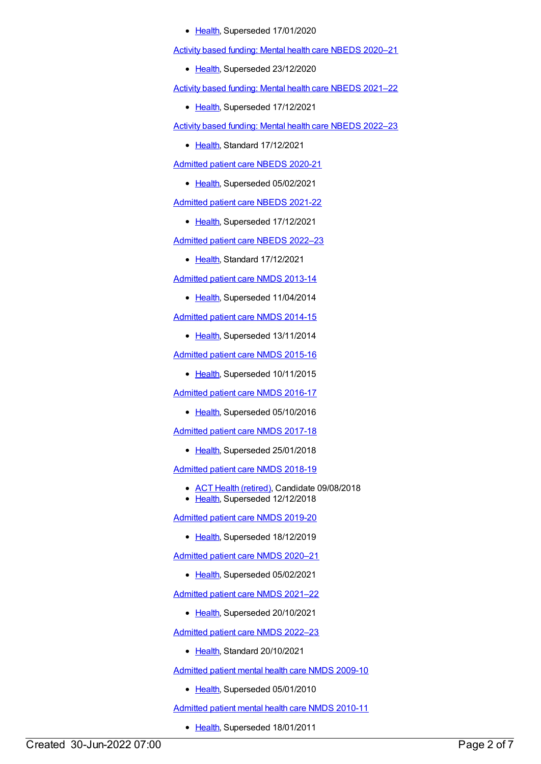• [Health](https://meteor.aihw.gov.au/RegistrationAuthority/12), Superseded 17/01/2020

Activity based funding: Mental health care NBEDS [2020–21](https://meteor.aihw.gov.au/content/715671)

• [Health](https://meteor.aihw.gov.au/RegistrationAuthority/12), Superseded 23/12/2020

Activity based funding: Mental health care NBEDS [2021–22](https://meteor.aihw.gov.au/content/735108)

• [Health](https://meteor.aihw.gov.au/RegistrationAuthority/12), Superseded 17/12/2021

Activity based funding: Mental health care NBEDS [2022–23](https://meteor.aihw.gov.au/content/742188)

• [Health](https://meteor.aihw.gov.au/RegistrationAuthority/12), Standard 17/12/2021

[Admitted](https://meteor.aihw.gov.au/content/715998) patient care NBEDS 2020-21

• [Health](https://meteor.aihw.gov.au/RegistrationAuthority/12), Superseded 05/02/2021

[Admitted](https://meteor.aihw.gov.au/content/728441) patient care NBEDS 2021-22

• [Health](https://meteor.aihw.gov.au/RegistrationAuthority/12), Superseded 17/12/2021

[Admitted](https://meteor.aihw.gov.au/content/742171) patient care NBEDS 2022–23

• [Health](https://meteor.aihw.gov.au/RegistrationAuthority/12), Standard 17/12/2021

[Admitted](https://meteor.aihw.gov.au/content/491555) patient care NMDS 2013-14

• [Health](https://meteor.aihw.gov.au/RegistrationAuthority/12), Superseded 11/04/2014

[Admitted](https://meteor.aihw.gov.au/content/535047) patient care NMDS 2014-15

• [Health](https://meteor.aihw.gov.au/RegistrationAuthority/12), Superseded 13/11/2014

[Admitted](https://meteor.aihw.gov.au/content/588909) patient care NMDS 2015-16

• [Health](https://meteor.aihw.gov.au/RegistrationAuthority/12), Superseded 10/11/2015

[Admitted](https://meteor.aihw.gov.au/content/612171) patient care NMDS 2016-17

• [Health](https://meteor.aihw.gov.au/RegistrationAuthority/12), Superseded 05/10/2016

[Admitted](https://meteor.aihw.gov.au/content/641349) patient care NMDS 2017-18

• [Health](https://meteor.aihw.gov.au/RegistrationAuthority/12), Superseded 25/01/2018

[Admitted](https://meteor.aihw.gov.au/content/676382) patient care NMDS 2018-19

- ACT Health [\(retired\)](https://meteor.aihw.gov.au/RegistrationAuthority/9), Candidate 09/08/2018
- [Health](https://meteor.aihw.gov.au/RegistrationAuthority/12), Superseded 12/12/2018

[Admitted](https://meteor.aihw.gov.au/content/699728) patient care NMDS 2019-20

• [Health](https://meteor.aihw.gov.au/RegistrationAuthority/12), Superseded 18/12/2019

[Admitted](https://meteor.aihw.gov.au/content/713850) patient care NMDS 2020–21

• [Health](https://meteor.aihw.gov.au/RegistrationAuthority/12), Superseded 05/02/2021

[Admitted](https://meteor.aihw.gov.au/content/728439) patient care NMDS 2021–22

• [Health](https://meteor.aihw.gov.au/RegistrationAuthority/12), Superseded 20/10/2021

[Admitted](https://meteor.aihw.gov.au/content/742173) patient care NMDS 2022–23

• [Health](https://meteor.aihw.gov.au/RegistrationAuthority/12), Standard 20/10/2021

[Admitted](https://meteor.aihw.gov.au/content/374207) patient mental health care NMDS 2009-10

• [Health](https://meteor.aihw.gov.au/RegistrationAuthority/12), Superseded 05/01/2010

[Admitted](https://meteor.aihw.gov.au/content/386799) patient mental health care NMDS 2010-11

• [Health](https://meteor.aihw.gov.au/RegistrationAuthority/12), Superseded 18/01/2011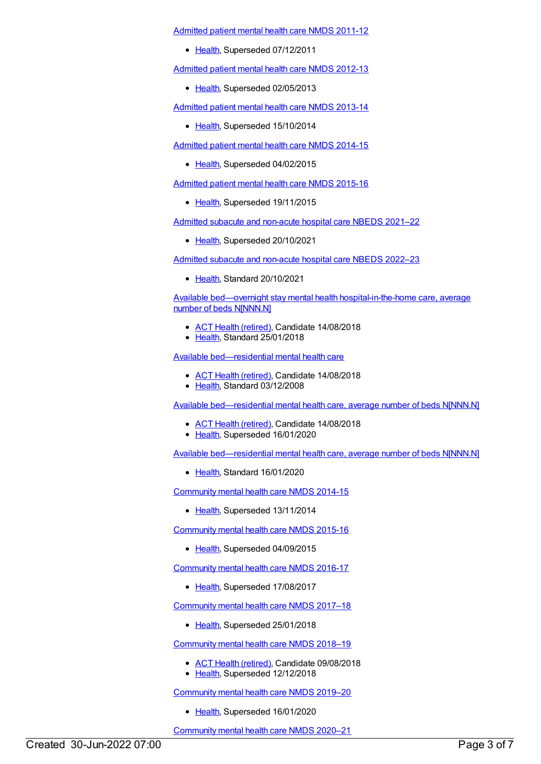[Admitted](https://meteor.aihw.gov.au/content/426872) patient mental health care NMDS 2011-12

• [Health](https://meteor.aihw.gov.au/RegistrationAuthority/12), Superseded 07/12/2011

[Admitted](https://meteor.aihw.gov.au/content/471383) patient mental health care NMDS 2012-13

• [Health](https://meteor.aihw.gov.au/RegistrationAuthority/12), Superseded 02/05/2013

[Admitted](https://meteor.aihw.gov.au/content/504646) patient mental health care NMDS 2013-14

• [Health](https://meteor.aihw.gov.au/RegistrationAuthority/12), Superseded 15/10/2014

[Admitted](https://meteor.aihw.gov.au/content/553164) patient mental health care NMDS 2014-15

• [Health](https://meteor.aihw.gov.au/RegistrationAuthority/12), Superseded 04/02/2015

[Admitted](https://meteor.aihw.gov.au/content/590510) patient mental health care NMDS 2015-16

• [Health](https://meteor.aihw.gov.au/RegistrationAuthority/12), Superseded 19/11/2015

Admitted subacute and [non-acute](https://meteor.aihw.gov.au/content/727327) hospital care NBEDS 2021–22

• [Health](https://meteor.aihw.gov.au/RegistrationAuthority/12), Superseded 20/10/2021

Admitted subacute and [non-acute](https://meteor.aihw.gov.au/content/742177) hospital care NBEDS 2022–23

• [Health](https://meteor.aihw.gov.au/RegistrationAuthority/12), Standard 20/10/2021

Available bed—overnight stay mental health [hospital-in-the-home](https://meteor.aihw.gov.au/content/646853) care, average number of beds N[NNN.N]

- ACT Health [\(retired\)](https://meteor.aihw.gov.au/RegistrationAuthority/9), Candidate 14/08/2018
- [Health](https://meteor.aihw.gov.au/RegistrationAuthority/12), Standard 25/01/2018

Available [bed—residential](https://meteor.aihw.gov.au/content/373647) mental health care

- ACT Health [\(retired\)](https://meteor.aihw.gov.au/RegistrationAuthority/9), Candidate 14/08/2018
- [Health](https://meteor.aihw.gov.au/RegistrationAuthority/12), Standard 03/12/2008

Available [bed—residential](https://meteor.aihw.gov.au/content/373650) mental health care, average number of beds N[NNN.N]

- ACT Health [\(retired\)](https://meteor.aihw.gov.au/RegistrationAuthority/9), Candidate 14/08/2018
- [Health](https://meteor.aihw.gov.au/RegistrationAuthority/12), Superseded 16/01/2020

Available [bed—residential](https://meteor.aihw.gov.au/content/717123) mental health care, average number of beds N[NNN.N]

• [Health](https://meteor.aihw.gov.au/RegistrationAuthority/12), Standard 16/01/2020

[Community](https://meteor.aihw.gov.au/content/549878) mental health care NMDS 2014-15

• [Health](https://meteor.aihw.gov.au/RegistrationAuthority/12), Superseded 13/11/2014

[Community](https://meteor.aihw.gov.au/content/565694) mental health care NMDS 2015-16

• [Health](https://meteor.aihw.gov.au/RegistrationAuthority/12), Superseded 04/09/2015

[Community](https://meteor.aihw.gov.au/content/608534) mental health care NMDS 2016-17

• [Health](https://meteor.aihw.gov.au/RegistrationAuthority/12), Superseded 17/08/2017

[Community](https://meteor.aihw.gov.au/content/645692) mental health care NMDS 2017–18

[Health](https://meteor.aihw.gov.au/RegistrationAuthority/12), Superseded 25/01/2018

[Community](https://meteor.aihw.gov.au/content/677802) mental health care NMDS 2018–19

- ACT Health [\(retired\)](https://meteor.aihw.gov.au/RegistrationAuthority/9), Candidate 09/08/2018
- [Health](https://meteor.aihw.gov.au/RegistrationAuthority/12), Superseded 12/12/2018

[Community](https://meteor.aihw.gov.au/content/699975) mental health care NMDS 2019–20

• [Health](https://meteor.aihw.gov.au/RegistrationAuthority/12), Superseded 16/01/2020

[Community](https://meteor.aihw.gov.au/content/722221) mental health care NMDS 2020–21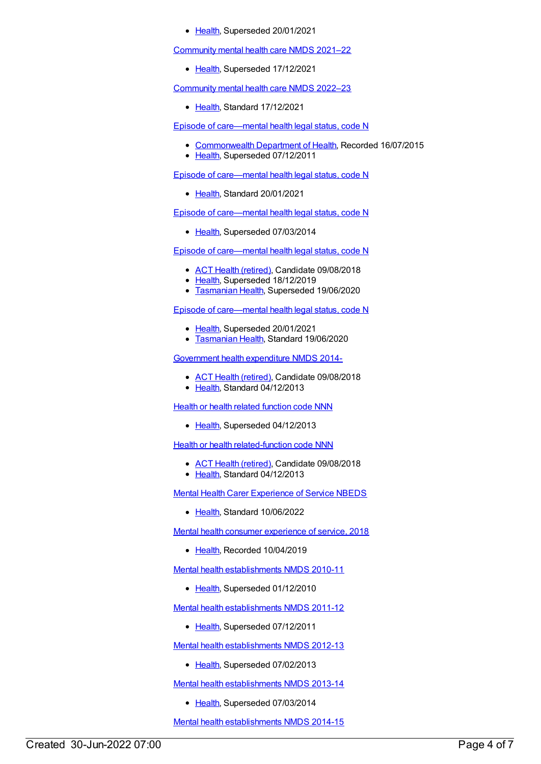• [Health](https://meteor.aihw.gov.au/RegistrationAuthority/12), Superseded 20/01/2021

[Community](https://meteor.aihw.gov.au/content/727348) mental health care NMDS 2021–22

• [Health](https://meteor.aihw.gov.au/RegistrationAuthority/12), Superseded 17/12/2021

[Community](https://meteor.aihw.gov.au/content/742040) mental health care NMDS 2022–23

• [Health](https://meteor.aihw.gov.au/RegistrationAuthority/12), Standard 17/12/2021

Episode of [care—mental](https://meteor.aihw.gov.au/content/270351) health legal status, code N

- [Commonwealth](https://meteor.aihw.gov.au/RegistrationAuthority/10) Department of Health, Recorded 16/07/2015
- [Health](https://meteor.aihw.gov.au/RegistrationAuthority/12), Superseded 07/12/2011

Episode of [care—mental](https://meteor.aihw.gov.au/content/727343) health legal status, code N

[Health](https://meteor.aihw.gov.au/RegistrationAuthority/12), Standard 20/01/2021

Episode of [care—mental](https://meteor.aihw.gov.au/content/459215) health legal status, code N

• [Health](https://meteor.aihw.gov.au/RegistrationAuthority/12), Superseded 07/03/2014

Episode of [care—mental](https://meteor.aihw.gov.au/content/534063) health legal status, code N

- ACT Health [\(retired\)](https://meteor.aihw.gov.au/RegistrationAuthority/9), Candidate 09/08/2018
- [Health](https://meteor.aihw.gov.au/RegistrationAuthority/12), Superseded 18/12/2019
- **[Tasmanian](https://meteor.aihw.gov.au/RegistrationAuthority/15) Health, Superseded 19/06/2020**

Episode of [care—mental](https://meteor.aihw.gov.au/content/722675) health legal status, code N

- [Health](https://meteor.aihw.gov.au/RegistrationAuthority/12), Superseded 20/01/2021
- **[Tasmanian](https://meteor.aihw.gov.au/RegistrationAuthority/15) Health, Standard 19/06/2020**

[Government](https://meteor.aihw.gov.au/content/540601) health expenditure NMDS 2014-

- ACT Health [\(retired\)](https://meteor.aihw.gov.au/RegistrationAuthority/9), Candidate 09/08/2018
- [Health](https://meteor.aihw.gov.au/RegistrationAuthority/12), Standard 04/12/2013

**Health or health related [function](https://meteor.aihw.gov.au/content/352162) code NNN** 

• [Health](https://meteor.aihw.gov.au/RegistrationAuthority/12), Superseded 04/12/2013

**Health or health [related-function](https://meteor.aihw.gov.au/content/533043) code NNN** 

- ACT Health [\(retired\)](https://meteor.aihw.gov.au/RegistrationAuthority/9), Candidate 09/08/2018
- [Health](https://meteor.aihw.gov.au/RegistrationAuthority/12), Standard 04/12/2013

Mental Health Carer [Experience](https://meteor.aihw.gov.au/content/745391) of Service NBEDS

• [Health](https://meteor.aihw.gov.au/RegistrationAuthority/12), Standard 10/06/2022

Mental health consumer [experience](https://meteor.aihw.gov.au/content/701058) of service, 2018

• [Health](https://meteor.aihw.gov.au/RegistrationAuthority/12), Recorded 10/04/2019

Mental health [establishments](https://meteor.aihw.gov.au/content/378611) NMDS 2010-11

• [Health](https://meteor.aihw.gov.au/RegistrationAuthority/12), Superseded 01/12/2010

Mental health [establishments](https://meteor.aihw.gov.au/content/424725) NMDS 2011-12

• [Health](https://meteor.aihw.gov.au/RegistrationAuthority/12), Superseded 07/12/2011

Mental health [establishments](https://meteor.aihw.gov.au/content/468195) NMDS 2012-13

• [Health](https://meteor.aihw.gov.au/RegistrationAuthority/12), Superseded 07/02/2013

Mental health [establishments](https://meteor.aihw.gov.au/content/493652) NMDS 2013-14

• [Health](https://meteor.aihw.gov.au/RegistrationAuthority/12), Superseded 07/03/2014

Mental health [establishments](https://meteor.aihw.gov.au/content/546889) NMDS 2014-15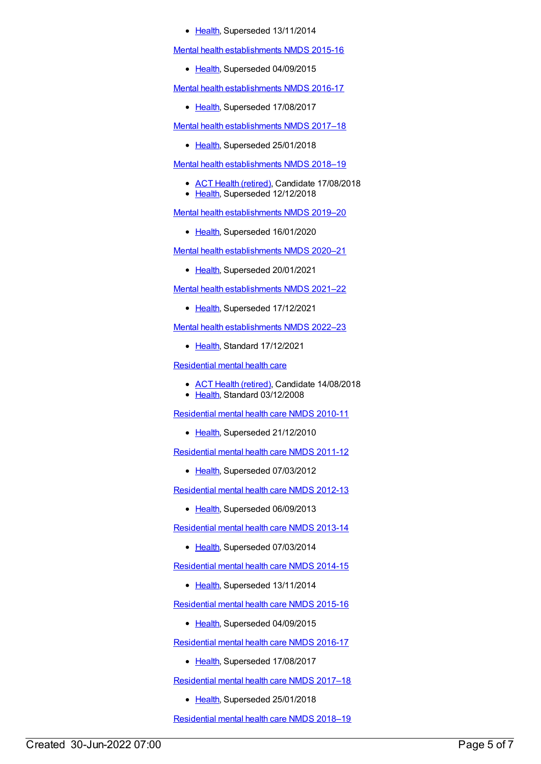## • [Health](https://meteor.aihw.gov.au/RegistrationAuthority/12), Superseded 13/11/2014

Mental health [establishments](https://meteor.aihw.gov.au/content/565661) NMDS 2015-16

• [Health](https://meteor.aihw.gov.au/RegistrationAuthority/12), Superseded 04/09/2015

Mental health [establishments](https://meteor.aihw.gov.au/content/605829) NMDS 2016-17

• [Health](https://meteor.aihw.gov.au/RegistrationAuthority/12), Superseded 17/08/2017

Mental health [establishments](https://meteor.aihw.gov.au/content/645723) NMDS 2017–18

• [Health](https://meteor.aihw.gov.au/RegistrationAuthority/12), Superseded 25/01/2018

Mental health [establishments](https://meteor.aihw.gov.au/content/677892) NMDS 2018–19

- ACT Health [\(retired\)](https://meteor.aihw.gov.au/RegistrationAuthority/9), Candidate 17/08/2018
- [Health](https://meteor.aihw.gov.au/RegistrationAuthority/12), Superseded 12/12/2018

Mental health [establishments](https://meteor.aihw.gov.au/content/707557) NMDS 2019–20

• [Health](https://meteor.aihw.gov.au/RegistrationAuthority/12), Superseded 16/01/2020

Mental health [establishments](https://meteor.aihw.gov.au/content/722168) NMDS 2020–21

• [Health](https://meteor.aihw.gov.au/RegistrationAuthority/12), Superseded 20/01/2021

Mental health [establishments](https://meteor.aihw.gov.au/content/727352) NMDS 2021–22

• [Health](https://meteor.aihw.gov.au/RegistrationAuthority/12), Superseded 17/12/2021

Mental health [establishments](https://meteor.aihw.gov.au/content/742046) NMDS 2022–23

● [Health](https://meteor.aihw.gov.au/RegistrationAuthority/12), Standard 17/12/2021

[Residential](https://meteor.aihw.gov.au/content/373645) mental health care

- ACT Health [\(retired\)](https://meteor.aihw.gov.au/RegistrationAuthority/9), Candidate 14/08/2018
- [Health](https://meteor.aihw.gov.au/RegistrationAuthority/12), Standard 03/12/2008

[Residential](https://meteor.aihw.gov.au/content/386809) mental health care NMDS 2010-11

• [Health](https://meteor.aihw.gov.au/RegistrationAuthority/12), Superseded 21/12/2010

[Residential](https://meteor.aihw.gov.au/content/426754) mental health care NMDS 2011-12

• [Health](https://meteor.aihw.gov.au/RegistrationAuthority/12), Superseded 07/03/2012

[Residential](https://meteor.aihw.gov.au/content/468206) mental health care NMDS 2012-13

• [Health](https://meteor.aihw.gov.au/RegistrationAuthority/12), Superseded 06/09/2013

[Residential](https://meteor.aihw.gov.au/content/539453) mental health care NMDS 2013-14

• [Health](https://meteor.aihw.gov.au/RegistrationAuthority/12), Superseded 07/03/2014

[Residential](https://meteor.aihw.gov.au/content/525052) mental health care NMDS 2014-15

• [Health](https://meteor.aihw.gov.au/RegistrationAuthority/12), Superseded 13/11/2014

[Residential](https://meteor.aihw.gov.au/content/565678) mental health care NMDS 2015-16

• [Health](https://meteor.aihw.gov.au/RegistrationAuthority/12), Superseded 04/09/2015

[Residential](https://meteor.aihw.gov.au/content/608539) mental health care NMDS 2016-17

• [Health](https://meteor.aihw.gov.au/RegistrationAuthority/12), Superseded 17/08/2017

[Residential](https://meteor.aihw.gov.au/content/645718) mental health care NMDS 2017–18

• [Health](https://meteor.aihw.gov.au/RegistrationAuthority/12), Superseded 25/01/2018

[Residential](https://meteor.aihw.gov.au/content/685927) mental health care NMDS 2018–19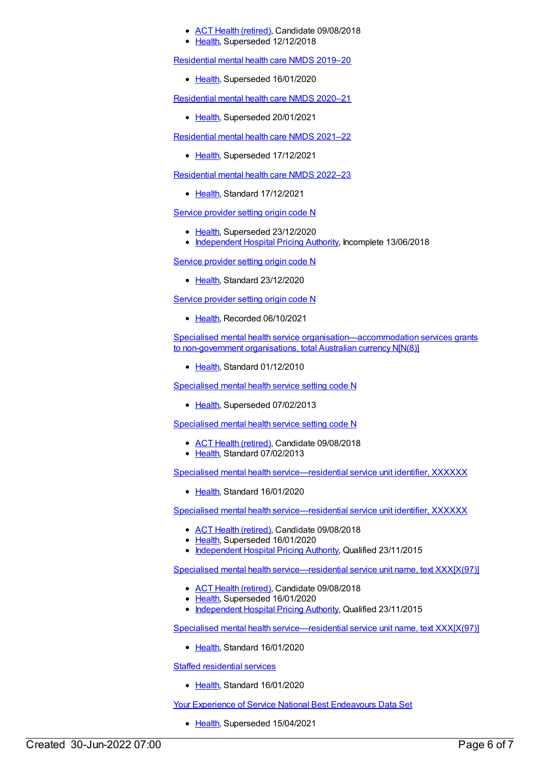## ACT Health [\(retired\)](https://meteor.aihw.gov.au/RegistrationAuthority/9), Candidate 09/08/2018

[Health](https://meteor.aihw.gov.au/RegistrationAuthority/12), Superseded 12/12/2018

[Residential](https://meteor.aihw.gov.au/content/707512) mental health care NMDS 2019–20

• [Health](https://meteor.aihw.gov.au/RegistrationAuthority/12), Superseded 16/01/2020

[Residential](https://meteor.aihw.gov.au/content/722224) mental health care NMDS 2020–21

• [Health](https://meteor.aihw.gov.au/RegistrationAuthority/12), Superseded 20/01/2021

[Residential](https://meteor.aihw.gov.au/content/727354) mental health care NMDS 2021–22

• [Health](https://meteor.aihw.gov.au/RegistrationAuthority/12), Superseded 17/12/2021

[Residential](https://meteor.aihw.gov.au/content/742165) mental health care NMDS 2022–23

[Health](https://meteor.aihw.gov.au/RegistrationAuthority/12), Standard 17/12/2021

Service [provider](https://meteor.aihw.gov.au/content/699127) setting origin code N

- [Health](https://meteor.aihw.gov.au/RegistrationAuthority/12), Superseded 23/12/2020
- [Independent](https://meteor.aihw.gov.au/RegistrationAuthority/3) Hospital Pricing Authority, Incomplete 13/06/2018

Service [provider](https://meteor.aihw.gov.au/content/730820) setting origin code N

• [Health](https://meteor.aihw.gov.au/RegistrationAuthority/12), Standard 23/12/2020

Service [provider](https://meteor.aihw.gov.au/content/747303) setting origin code N

• [Health](https://meteor.aihw.gov.au/RegistrationAuthority/12), Recorded 06/10/2021

Specialised mental health service [organisation—accommodation](https://meteor.aihw.gov.au/content/398477) services grants to non-government organisations, total Australian currency N[N(8)]

• [Health](https://meteor.aihw.gov.au/RegistrationAuthority/12), Standard 01/12/2010

[Specialised](https://meteor.aihw.gov.au/content/288897) mental health service setting code N

• [Health](https://meteor.aihw.gov.au/RegistrationAuthority/12), Superseded 07/02/2013

[Specialised](https://meteor.aihw.gov.au/content/493341) mental health service setting code N

- ACT Health [\(retired\)](https://meteor.aihw.gov.au/RegistrationAuthority/9), Candidate 09/08/2018
- [Health](https://meteor.aihw.gov.au/RegistrationAuthority/12), Standard 07/02/2013

Specialised mental health [service—residential](https://meteor.aihw.gov.au/content/722711) service unit identifier, XXXXXX

• [Health](https://meteor.aihw.gov.au/RegistrationAuthority/12), Standard 16/01/2020

Specialised mental health [service—residential](https://meteor.aihw.gov.au/content/404837) service unit identifier, XXXXXX

- ACT Health [\(retired\)](https://meteor.aihw.gov.au/RegistrationAuthority/9), Candidate 09/08/2018
- [Health](https://meteor.aihw.gov.au/RegistrationAuthority/12), Superseded 16/01/2020
- [Independent](https://meteor.aihw.gov.au/RegistrationAuthority/3) Hospital Pricing Authority, Qualified 23/11/2015

Specialised mental health [service—residential](https://meteor.aihw.gov.au/content/407496) service unit name, text XXX[X(97)]

- ACT Health [\(retired\)](https://meteor.aihw.gov.au/RegistrationAuthority/9), Candidate 09/08/2018
- [Health](https://meteor.aihw.gov.au/RegistrationAuthority/12), Superseded 16/01/2020
- [Independent](https://meteor.aihw.gov.au/RegistrationAuthority/3) Hospital Pricing Authority, Qualified 23/11/2015

Specialised mental health [service—residential](https://meteor.aihw.gov.au/content/722715) service unit name, text XXX[X(97)]

• [Health](https://meteor.aihw.gov.au/RegistrationAuthority/12), Standard 16/01/2020

Staffed [residential](https://meteor.aihw.gov.au/content/721761) services

• [Health](https://meteor.aihw.gov.au/RegistrationAuthority/12), Standard 16/01/2020

Your Experience of Service National Best [Endeavours](https://meteor.aihw.gov.au/content/635068) Data Set

• [Health](https://meteor.aihw.gov.au/RegistrationAuthority/12), Superseded 15/04/2021